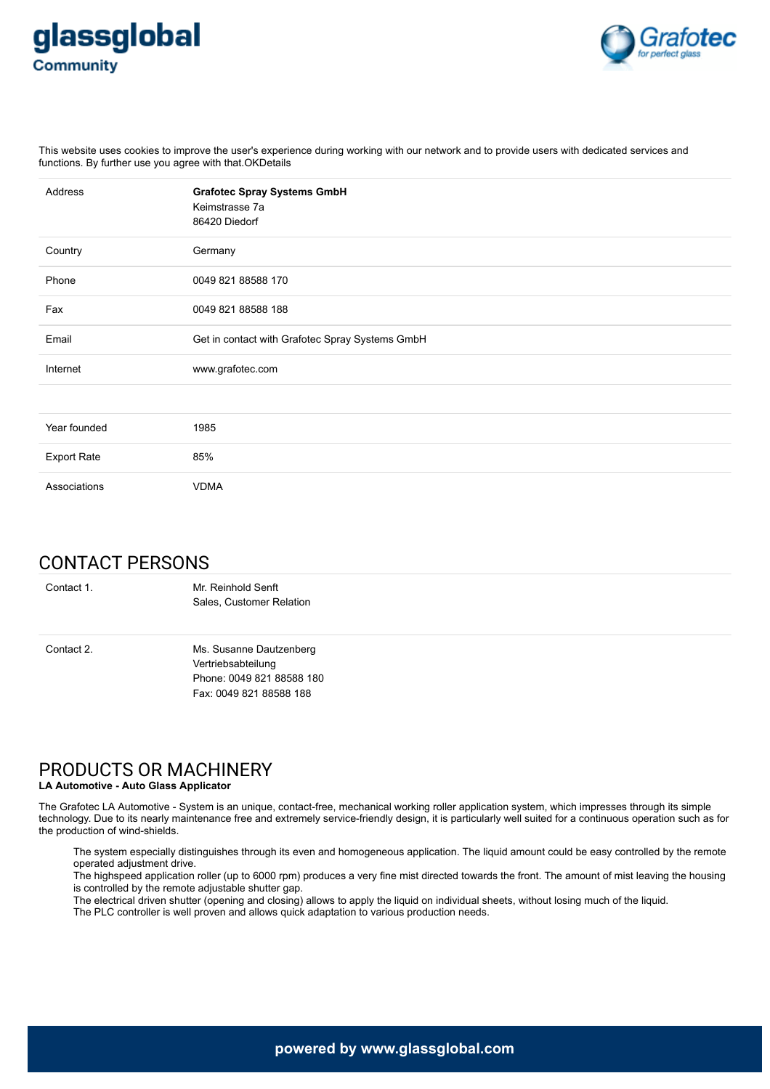



This website uses cookies to improve the user's experience during working with our network and to provide users with dedicated services and functions. By further use you agree with that.OKDetails

| Address            | <b>Grafotec Spray Systems GmbH</b><br>Keimstrasse 7a<br>86420 Diedorf |
|--------------------|-----------------------------------------------------------------------|
| Country            | Germany                                                               |
| Phone              | 0049 821 88588 170                                                    |
| Fax                | 0049 821 88588 188                                                    |
| Email              | Get in contact with Grafotec Spray Systems GmbH                       |
| Internet           | www.grafotec.com                                                      |
|                    |                                                                       |
| Year founded       | 1985                                                                  |
| <b>Export Rate</b> | 85%                                                                   |
| Associations       | <b>VDMA</b>                                                           |

# CONTACT PERSONS

Contact 1. Mr. Reinhold Senft Sales, Customer Relation Contact 2. Ms. Susanne Dautzenberg Vertriebsabteilung Phone: 0049 821 88588 180 Fax: 0049 821 88588 188

# PRODUCTS OR MACHINERY

### **LA Automotive - Auto Glass Applicator**

The Grafotec LA Automotive - System is an unique, contact-free, mechanical working roller application system, which impresses through its simple technology. Due to its nearly maintenance free and extremely service-friendly design, it is particularly well suited for a continuous operation such as for the production of wind-shields.

The system especially distinguishes through its even and homogeneous application. The liquid amount could be easy controlled by the remote operated adjustment drive.

The highspeed application roller (up to 6000 rpm) produces a very fine mist directed towards the front. The amount of mist leaving the housing is controlled by the remote adjustable shutter gap.

The electrical driven shutter (opening and closing) allows to apply the liquid on individual sheets, without losing much of the liquid.

The PLC controller is well proven and allows quick adaptation to various production needs.